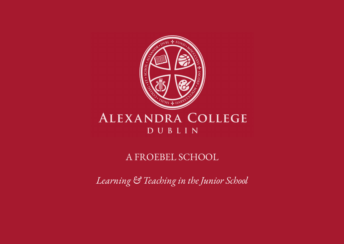

#### ALEXANDRA COLLEGE DUBLIN

#### A FROEBEL SCHOOL

*Learning & Teaching in the Junior School*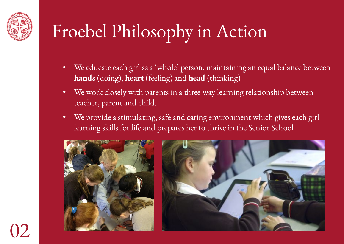

### Froebel Philosophy in Action

- We educate each girl as a 'whole' person, maintaining an equal balance between **hands** (doing), **heart** (feeling) and **head** (thinking)
- We work closely with parents in a three way learning relationship between teacher, parent and child.
- We provide a stimulating, safe and caring environment which gives each girl learning skills for life and prepares her to thrive in the Senior School



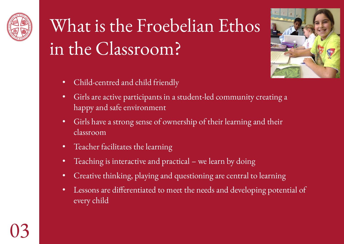

# What is the Froebelian Ethos in the Classroom?



- Child-centred and child friendly
- Girls are active participants in a student-led community creating a happy and safe environment
- Girls have a strong sense of ownership of their learning and their classroom
- Teacher facilitates the learning
- Teaching is interactive and practical we learn by doing
- Creative thinking, playing and questioning are central to learning
- Lessons are differentiated to meet the needs and developing potential of every child

03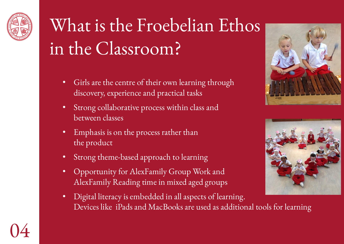

## What is the Froebelian Ethos in the Classroom?

- Girls are the centre of their own learning through discovery, experience and practical tasks
- Strong collaborative process within class and between classes
- Emphasis is on the process rather than the product
- Strong theme-based approach to learning
- Opportunity for AlexFamily Group Work and AlexFamily Reading time in mixed aged groups
- Digital literacy is embedded in all aspects of learning. Devices like iPads and MacBooks are used as additional tools for learning





04